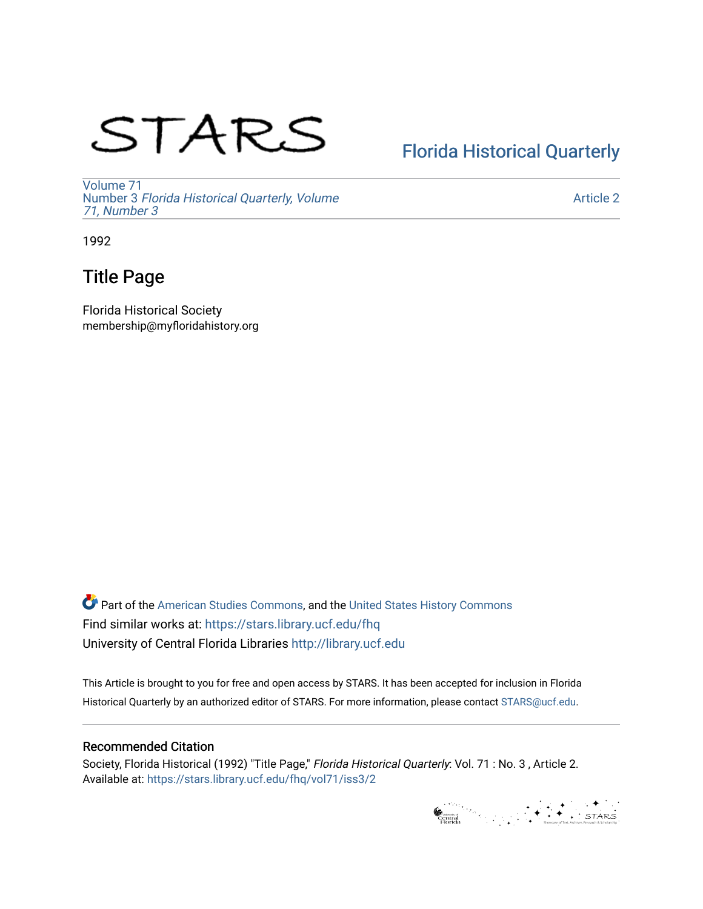# STARS

## [Florida Historical Quarterly](https://stars.library.ucf.edu/fhq)

[Volume 71](https://stars.library.ucf.edu/fhq/vol71) Number 3 [Florida Historical Quarterly, Volume](https://stars.library.ucf.edu/fhq/vol71/iss3)  [71, Number 3](https://stars.library.ucf.edu/fhq/vol71/iss3)

[Article 2](https://stars.library.ucf.edu/fhq/vol71/iss3/2) 

1992

## Title Page

Florida Historical Society membership@myfloridahistory.org

**C** Part of the [American Studies Commons](http://network.bepress.com/hgg/discipline/439?utm_source=stars.library.ucf.edu%2Ffhq%2Fvol71%2Fiss3%2F2&utm_medium=PDF&utm_campaign=PDFCoverPages), and the United States History Commons Find similar works at: <https://stars.library.ucf.edu/fhq> University of Central Florida Libraries [http://library.ucf.edu](http://library.ucf.edu/) 

This Article is brought to you for free and open access by STARS. It has been accepted for inclusion in Florida Historical Quarterly by an authorized editor of STARS. For more information, please contact [STARS@ucf.edu.](mailto:STARS@ucf.edu)

## Recommended Citation

Society, Florida Historical (1992) "Title Page," Florida Historical Quarterly: Vol. 71 : No. 3 , Article 2. Available at: [https://stars.library.ucf.edu/fhq/vol71/iss3/2](https://stars.library.ucf.edu/fhq/vol71/iss3/2?utm_source=stars.library.ucf.edu%2Ffhq%2Fvol71%2Fiss3%2F2&utm_medium=PDF&utm_campaign=PDFCoverPages) 

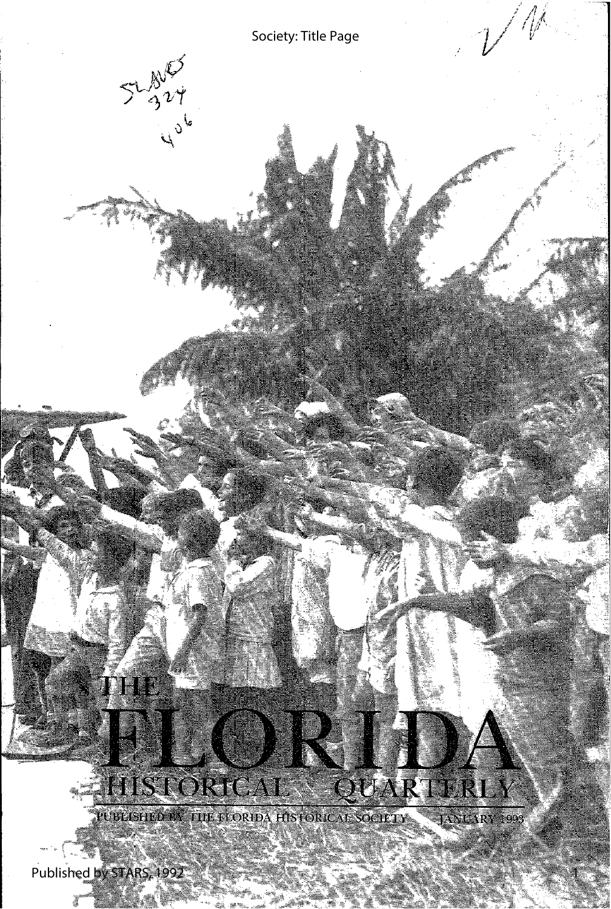

1

Published by STARS, 1992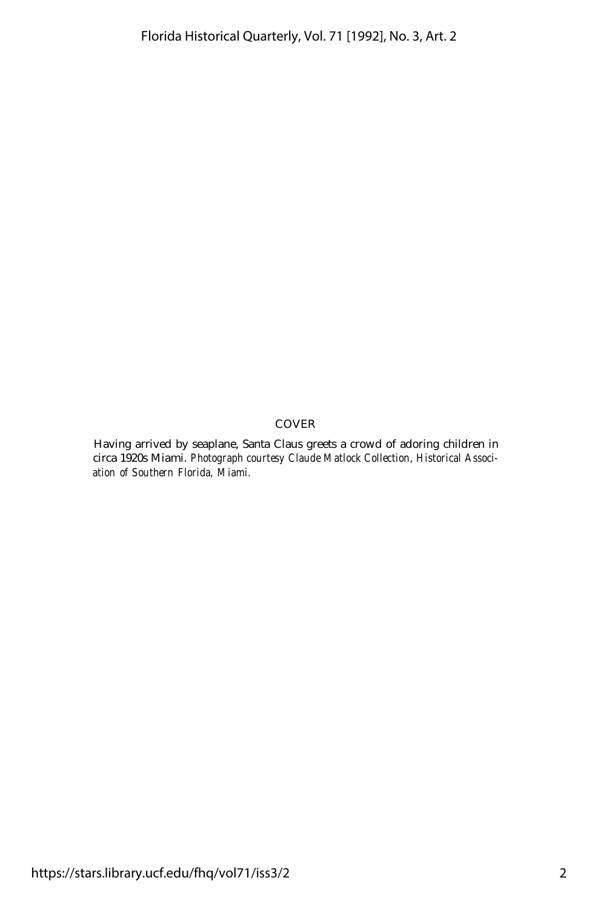### COVER

Having arrived by seaplane, Santa Claus greets a crowd of adoring children in circa 1920s Miami. *Photograph courtesy Claude Matlock Collection, Historical Association of Southern Florida, Miami.*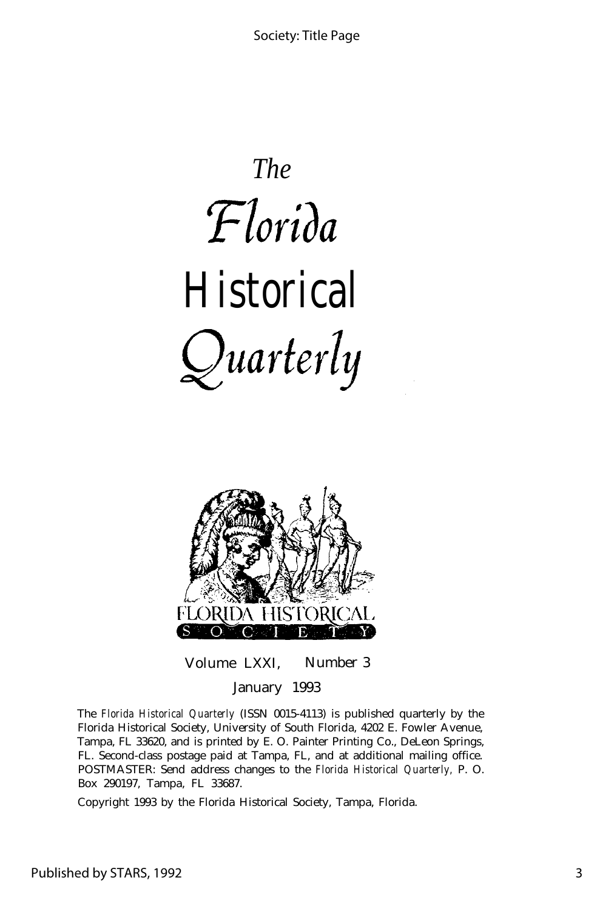*The* Florida *Historical*  $Quarterly$ 



Volume LXXI, Number 3 January 1993

The *Florida Historical Quarterly* (ISSN 0015-4113) is published quarterly by the Florida Historical Society, University of South Florida, 4202 E. Fowler Avenue, Tampa, FL 33620, and is printed by E. O. Painter Printing Co., DeLeon Springs, FL. Second-class postage paid at Tampa, FL, and at additional mailing office. POSTMASTER: Send address changes to the *Florida Historical Quarterly,* P. O. Box 290197, Tampa, FL 33687.

Copyright 1993 by the Florida Historical Society, Tampa, Florida.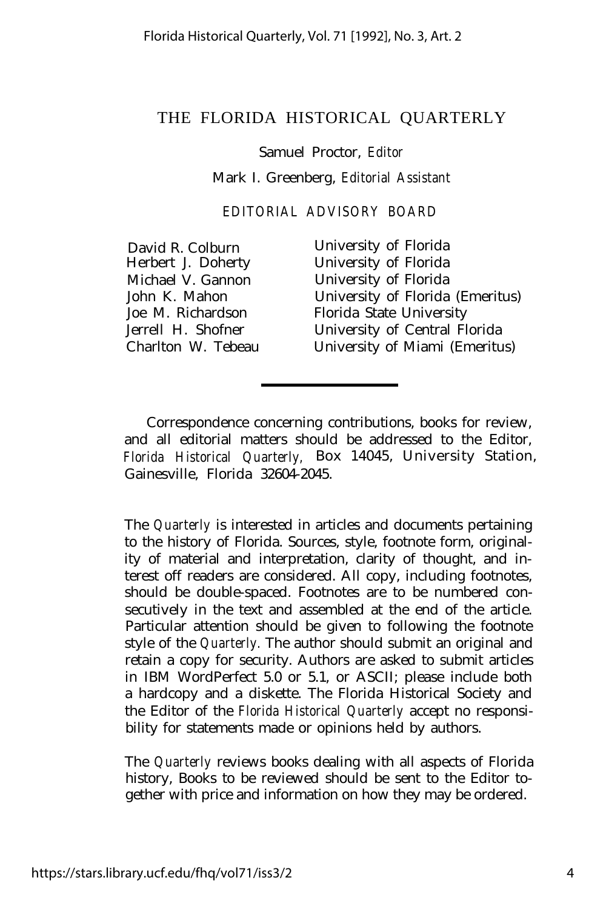### THE FLORIDA HISTORICAL QUARTERLY

#### Samuel Proctor, *Editor*

Mark I. Greenberg, *Editorial Assistant*

*EDITORIAL ADVISORY BOARD*

David R. Colburn University of Florida<br>
Herbert J. Doherty University of Florida University of Florida Michael V. Gannon University of Florida John K. Mahon University of Florida (Emeritus) Joe M. Richardson Florida State University Jerrell H. Shofner University of Central Florida University of Miami (Emeritus)

Correspondence concerning contributions, books for review, and all editorial matters should be addressed to the Editor, *Florida Historical Quarterly,* Box 14045, University Station, Gainesville, Florida 32604-2045.

The *Quarterly* is interested in articles and documents pertaining to the history of Florida. Sources, style, footnote form, originality of material and interpretation, clarity of thought, and interest off readers are considered. All copy, including footnotes, should be double-spaced. Footnotes are to be numbered consecutively in the text and assembled at the end of the article. Particular attention should be given to following the footnote style of the *Quarterly.* The author should submit an original and retain a copy for security. Authors are asked to submit articles in IBM WordPerfect 5.0 or 5.1, or ASCII; please include both a hardcopy and a diskette. The Florida Historical Society and the Editor of the *Florida Historical Quarterly* accept no responsibility for statements made or opinions held by authors.

The *Quarterly* reviews books dealing with all aspects of Florida history, Books to be reviewed should be sent to the Editor together with price and information on how they may be ordered.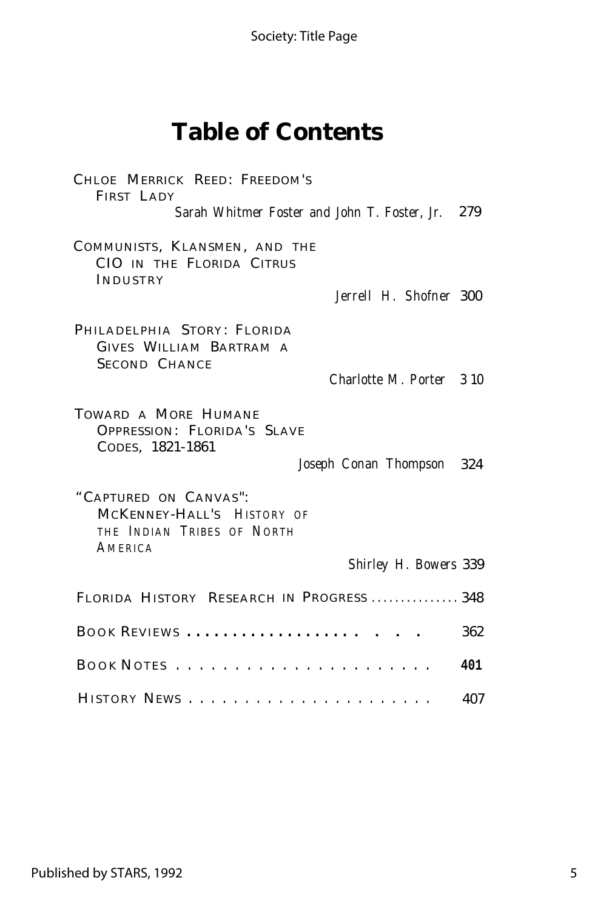Society: Title Page

# **Table of Contents**

| CHLOE MERRICK REED: FREEDOM'S<br>FIRST LADY<br>Sarah Whitmer Foster and John T. Foster, Jr. 279                              |     |
|------------------------------------------------------------------------------------------------------------------------------|-----|
| COMMUNISTS, KLANSMEN, AND THE<br>CIO IN THE FLORIDA CITRUS<br>INDUSTRY<br>Jerrell H. Shofner 300                             |     |
|                                                                                                                              |     |
| PHILADELPHIA STORY: FLORIDA<br>GIVES WILLIAM BARTRAM A<br><b>SECOND CHANCE</b><br>Charlotte M. Porter 3 10                   |     |
| TOWARD A MORE HUMANE<br>OPPRESSION: FLORIDA'S SLAVE<br>CODES, 1821-1861<br>Joseph Conan Thompson 324                         |     |
| "CAPTURED ON CANVAS":<br>MCKENNEY-HALL'S HISTORY OF<br>THE INDIAN TRIBES OF NORTH<br><i>AMERICA</i><br>Shirley H. Bowers 339 |     |
|                                                                                                                              |     |
| FLORIDA HISTORY RESEARCH IN PROGRESS  348                                                                                    |     |
| BOOK REVIEWS  .                                                                                                              | 362 |
|                                                                                                                              | 401 |
|                                                                                                                              | 407 |